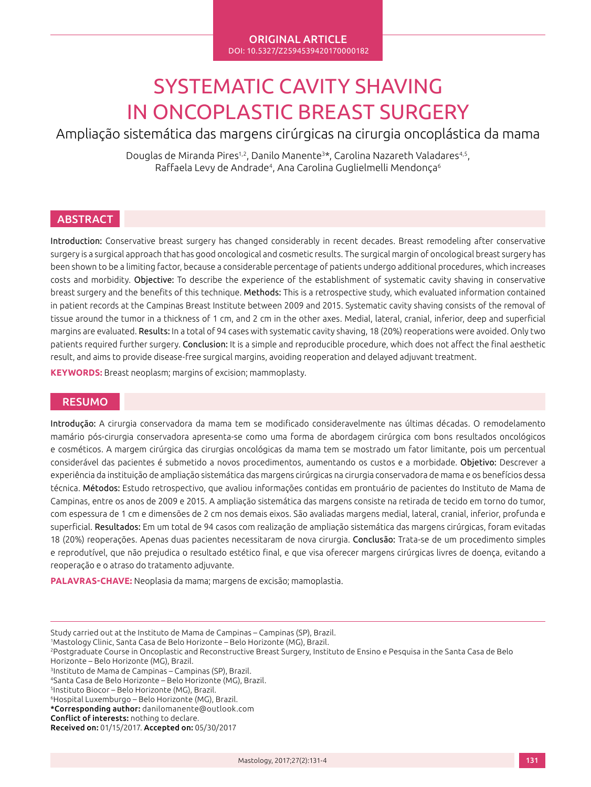#### ORIGINAL ARTICLE DOI: 10.5327/Z2594539420170000182

# SYSTEMATIC CAVITY SHAVING IN ONCOPLASTIC BREAST SURGERY

Ampliação sistemática das margens cirúrgicas na cirurgia oncoplástica da mama

Douglas de Miranda Pires<sup>1,2</sup>, Danilo Manente<sup>3\*</sup>, Carolina Nazareth Valadares<sup>4,5</sup>, Raffaela Levy de Andrade<sup>4</sup>, Ana Carolina Guglielmelli Mendonça<sup>6</sup>

## ABSTRACT

Introduction: Conservative breast surgery has changed considerably in recent decades. Breast remodeling after conservative surgery is a surgical approach that has good oncological and cosmetic results. The surgical margin of oncological breast surgery has been shown to be a limiting factor, because a considerable percentage of patients undergo additional procedures, which increases costs and morbidity. Objective: To describe the experience of the establishment of systematic cavity shaving in conservative breast surgery and the benefits of this technique. Methods: This is a retrospective study, which evaluated information contained in patient records at the Campinas Breast Institute between 2009 and 2015. Systematic cavity shaving consists of the removal of tissue around the tumor in a thickness of 1 cm, and 2 cm in the other axes. Medial, lateral, cranial, inferior, deep and superficial margins are evaluated. Results: In a total of 94 cases with systematic cavity shaving, 18 (20%) reoperations were avoided. Only two patients required further surgery. Conclusion: It is a simple and reproducible procedure, which does not affect the final aesthetic result, and aims to provide disease-free surgical margins, avoiding reoperation and delayed adjuvant treatment.

**KEYWORDS:** Breast neoplasm; margins of excision; mammoplasty.

#### RESUMO

Introdução: A cirurgia conservadora da mama tem se modificado consideravelmente nas últimas décadas. O remodelamento mamário pós-cirurgia conservadora apresenta-se como uma forma de abordagem cirúrgica com bons resultados oncológicos e cosméticos. A margem cirúrgica das cirurgias oncológicas da mama tem se mostrado um fator limitante, pois um percentual considerável das pacientes é submetido a novos procedimentos, aumentando os custos e a morbidade. Objetivo: Descrever a experiência da instituição de ampliação sistemática das margens cirúrgicas na cirurgia conservadora de mama e os benefícios dessa técnica. Métodos: Estudo retrospectivo, que avaliou informações contidas em prontuário de pacientes do Instituto de Mama de Campinas, entre os anos de 2009 e 2015. A ampliação sistemática das margens consiste na retirada de tecido em torno do tumor, com espessura de 1 cm e dimensões de 2 cm nos demais eixos. São avaliadas margens medial, lateral, cranial, inferior, profunda e superficial. Resultados: Em um total de 94 casos com realização de ampliação sistemática das margens cirúrgicas, foram evitadas 18 (20%) reoperações. Apenas duas pacientes necessitaram de nova cirurgia. Conclusão: Trata-se de um procedimento simples e reprodutível, que não prejudica o resultado estético final, e que visa oferecer margens cirúrgicas livres de doença, evitando a reoperação e o atraso do tratamento adjuvante.

**PALAVRAS-CHAVE:** Neoplasia da mama; margens de excisão; mamoplastia.

Study carried out at the Instituto de Mama de Campinas – Campinas (SP), Brazil.

<sup>1</sup> Mastology Clinic, Santa Casa de Belo Horizonte – Belo Horizonte (MG), Brazil.

<sup>2</sup>Postgraduate Course in Oncoplastic and Reconstructive Breast Surgery, Instituto de Ensino e Pesquisa in the Santa Casa de Belo Horizonte – Belo Horizonte (MG), Brazil.

<sup>3</sup>Instituto de Mama de Campinas – Campinas (SP), Brazil. <sup>4</sup>Santa Casa de Belo Horizonte – Belo Horizonte (MG), Brazil.

<sup>5</sup>Instituto Biocor – Belo Horizonte (MG), Brazil.

<sup>6</sup>Hospital Luxemburgo – Belo Horizonte (MG), Brazil.

<sup>\*</sup>Corresponding author: danilomanente@outlook.com

Conflict of interests: nothing to declare.

Received on: 01/15/2017. Accepted on: 05/30/2017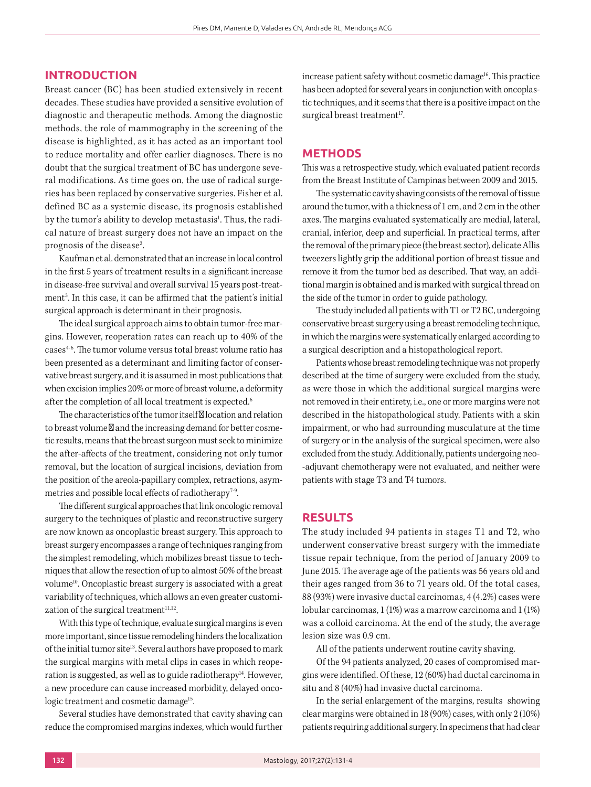#### **INTRODUCTION**

Breast cancer (BC) has been studied extensively in recent decades. These studies have provided a sensitive evolution of diagnostic and therapeutic methods. Among the diagnostic methods, the role of mammography in the screening of the disease is highlighted, as it has acted as an important tool to reduce mortality and offer earlier diagnoses. There is no doubt that the surgical treatment of BC has undergone several modifications. As time goes on, the use of radical surgeries has been replaced by conservative surgeries. Fisher et al. defined BC as a systemic disease, its prognosis established by the tumor's ability to develop metastasis<sup>1</sup>. Thus, the radical nature of breast surgery does not have an impact on the prognosis of the disease<sup>2</sup>. .

Kaufman et al. demonstrated that an increase in local control in the first 5 years of treatment results in a significant increase in disease-free survival and overall survival 15 years post-treatment3 . In this case, it can be affirmed that the patient's initial surgical approach is determinant in their prognosis.

The ideal surgical approach aims to obtain tumor-free margins. However, reoperation rates can reach up to 40% of the cases4-6. The tumor volume versus total breast volume ratio has been presented as a determinant and limiting factor of conservative breast surgery, and it is assumed in most publications that when excision implies 20% or more of breast volume, a deformity after the completion of all local treatment is expected.<sup>6</sup>

The characteristics of the tumor itself – location and relation to breast volume and the increasing demand for better cosmetic results, means that the breast surgeon must seek to minimize the after-affects of the treatment, considering not only tumor removal, but the location of surgical incisions, deviation from the position of the areola-papillary complex, retractions, asymmetries and possible local effects of radiotherapy<sup>7-9</sup>.

The different surgical approaches that link oncologic removal surgery to the techniques of plastic and reconstructive surgery are now known as oncoplastic breast surgery. This approach to breast surgery encompasses a range of techniques ranging from the simplest remodeling, which mobilizes breast tissue to techniques that allow the resection of up to almost 50% of the breast volume<sup>10</sup>. Oncoplastic breast surgery is associated with a great variability of techniques, which allows an even greater customization of the surgical treatment $11,12$ .

With this type of technique, evaluate surgical margins is even more important, since tissue remodeling hinders the localization of the initial tumor site<sup>13</sup>. Several authors have proposed to mark the surgical margins with metal clips in cases in which reoperation is suggested, as well as to guide radiotherapy<sup>14</sup>. However, a new procedure can cause increased morbidity, delayed oncologic treatment and cosmetic damage<sup>15</sup>.

Several studies have demonstrated that cavity shaving can reduce the compromised margins indexes, which would further increase patient safety without cosmetic damage<sup>16</sup>. This practice has been adopted for several years in conjunction with oncoplastic techniques, and it seems that there is a positive impact on the surgical breast treatment<sup>17</sup>.

#### **METHODS**

This was a retrospective study, which evaluated patient records from the Breast Institute of Campinas between 2009 and 2015.

The systematic cavity shaving consists of the removal of tissue around the tumor, with a thickness of 1 cm, and 2 cm in the other axes. The margins evaluated systematically are medial, lateral, cranial, inferior, deep and superficial. In practical terms, after the removal of the primary piece (the breast sector), delicate Allis tweezers lightly grip the additional portion of breast tissue and remove it from the tumor bed as described. That way, an additional margin is obtained and is marked with surgical thread on the side of the tumor in order to guide pathology.

The study included all patients with T1 or T2 BC, undergoing conservative breast surgery using a breast remodeling technique, in which the margins were systematically enlarged according to a surgical description and a histopathological report.

Patients whose breast remodeling technique was not properly described at the time of surgery were excluded from the study, as were those in which the additional surgical margins were not removed in their entirety, i.e., one or more margins were not described in the histopathological study. Patients with a skin impairment, or who had surrounding musculature at the time of surgery or in the analysis of the surgical specimen, were also excluded from the study. Additionally, patients undergoing neo- -adjuvant chemotherapy were not evaluated, and neither were patients with stage T3 and T4 tumors.

#### **RESULTS**

The study included 94 patients in stages T1 and T2, who underwent conservative breast surgery with the immediate tissue repair technique, from the period of January 2009 to June 2015. The average age of the patients was 56 years old and their ages ranged from 36 to 71 years old. Of the total cases, 88 (93%) were invasive ductal carcinomas, 4 (4.2%) cases were lobular carcinomas, 1 (1%) was a marrow carcinoma and 1 (1%) was a colloid carcinoma. At the end of the study, the average lesion size was 0.9 cm.

All of the patients underwent routine cavity shaving.

Of the 94 patients analyzed, 20 cases of compromised margins were identified. Of these, 12 (60%) had ductal carcinoma in situ and 8 (40%) had invasive ductal carcinoma.

In the serial enlargement of the margins, results showing clear marginswere obtained in 18 (90%) cases, with only 2 (10%) patients requiring additional surgery. In specimens that had clear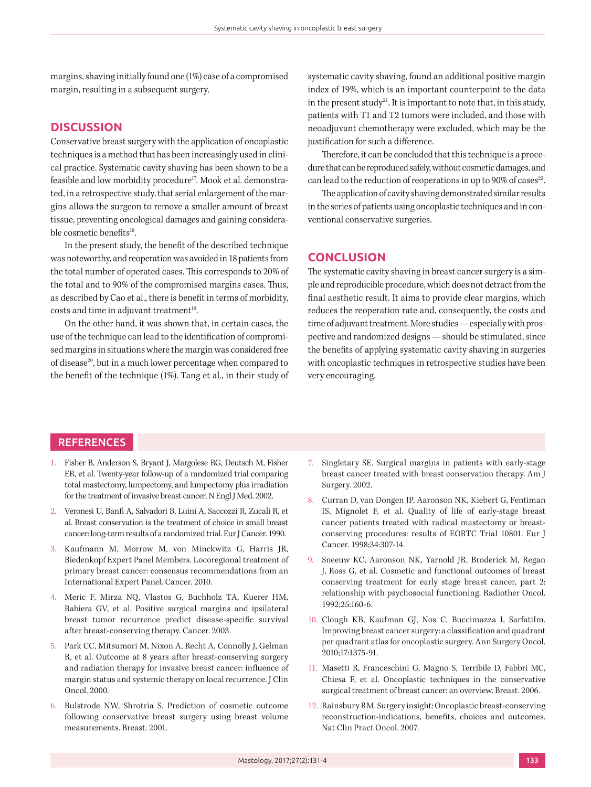margins, shaving initially found one (1%) case of a compromised margin, resulting in a subsequent surgery.

#### **DISCUSSION**

Conservative breast surgery with the application of oncoplastic techniques is a method that has been increasingly used in clinical practice. Systematic cavity shaving has been shown to be a feasible and low morbidity procedure<sup>17</sup>. Mook et al. demonstrated, in a retrospective study, that serial enlargement of the margins allows the surgeon to remove a smaller amount of breast tissue, preventing oncological damages and gaining considerable cosmetic benefits<sup>18</sup>.

In the present study, the benefit of the described technique was noteworthy, and reoperation was avoided in 18 patients from the total number of operated cases. This corresponds to 20% of the total and to 90% of the compromised margins cases. Thus, as described by Cao et al., there is benefit in terms of morbidity, costs and time in adjuvant treatment<sup>19</sup>.

On the other hand, it was shown that, in certain cases, the use of the technique can lead to the identification of compromised margins in situations where the margin was considered free of disease<sup>20</sup>, but in a much lower percentage when compared to the benefit of the technique (1%). Tang et al., in their study of systematic cavity shaving, found an additional positive margin index of 19%, which is an important counterpoint to the data in the present study<sup>21</sup>. It is important to note that, in this study, patients with T1 and T2 tumors were included, and those with neoadjuvant chemotherapy were excluded, which may be the justification for such a difference.

Therefore, it can be concluded that this technique is a procedure that can be reproduced safely, without cosmetic damages, and can lead to the reduction of reoperations in up to  $90\%$  of cases<sup>22</sup>.

The application of cavity shaving demonstrated similar results in the series of patients using oncoplastic techniques and in conventional conservative surgeries.

#### **CONCLUSION**

The systematic cavity shaving in breast cancer surgery is a simple and reproducible procedure, which does not detract from the final aesthetic result. It aims to provide clear margins, which reduces the reoperation rate and, consequently, the costs and time of adjuvant treatment. More studies — especially with prospective and randomized designs — should be stimulated, since the benefits of applying systematic cavity shaving in surgeries with oncoplastic techniques in retrospective studies have been very encouraging.

### **REFERENCES**

- 1. Fisher B, Anderson S, Bryant J, Margolese RG, Deutsch M, Fisher ER, et al. Twenty-year follow-up of a randomized trial comparing total mastectomy, lumpectomy, and lumpectomy plus irradiation for the treatment of invasive breast cancer. N Engl J Med. 2002.
- 2. Veronesi U, Banfi A, Salvadori B, Luini A, Saccozzi R, Zucali R, et al. Breast conservation is the treatment of choice in small breast cancer: long-term results of a randomized trial. Eur J Cancer. 1990.
- 3. Kaufmann M, Morrow M, von Minckwitz G, Harris JR, Biedenkopf Expert Panel Members. Locoregional treatment of primary breast cancer: consensus recommendations from an International Expert Panel. Cancer. 2010.
- 4. Meric F, Mirza NQ, Vlastos G, Buchholz TA, Kuerer HM, Babiera GV, et al. Positive surgical margins and ipsilateral breast tumor recurrence predict disease-specific survival after breast-conserving therapy. Cancer. 2003.
- 5. Park CC, Mitsumori M, Nixon A, Recht A, Connolly J, Gelman R, et al. Outcome at 8 years after breast-conserving surgery and radiation therapy for invasive breast cancer: influence of margin status and systemic therapy on local recurrence. J Clin Oncol. 2000.
- 6. Bulstrode NW, Shrotria S. Prediction of cosmetic outcome following conservative breast surgery using breast volume measurements. Breast. 2001.
- 7. Singletary SE. Surgical margins in patients with early-stage breast cancer treated with breast conservation therapy. Am J Surgery. 2002.
- 8. Curran D, van Dongen JP, Aaronson NK, Kiebert G, Fentiman IS, Mignolet F, et al. Quality of life of early-stage breast cancer patients treated with radical mastectomy or breastconserving procedures: results of EORTC Trial 10801. Eur J Cancer. 1998;34:307-14.
- 9. Sneeuw KC, Aaronson NK, Yarnold JR, Broderick M, Regan J, Ross G, et al. Cosmetic and functional outcomes of breast conserving treatment for early stage breast cancer, part 2: relationship with psychosocial functioning. Radiother Oncol. 1992;25:160-6.
- 10. Clough KB, Kaufman GJ, Nos C, Buccimazza I, SarfatiIm. Improving breast cancer surgery: a classification and quadrant per quadrant atlas for oncoplastic surgery. Ann Surgery Oncol. 2010;17:1375-91.
- 11. Masetti R, Franceschini G, Magno S, Terribile D, Fabbri MC, Chiesa F, et al. Oncoplastic techniques in the conservative surgical treatment of breast cancer: an overview. Breast. 2006.
- 12. Rainsbury RM. Surgery insight: Oncoplastic breast-conserving reconstruction-indications, benefits, choices and outcomes. Nat Clin Pract Oncol. 2007.